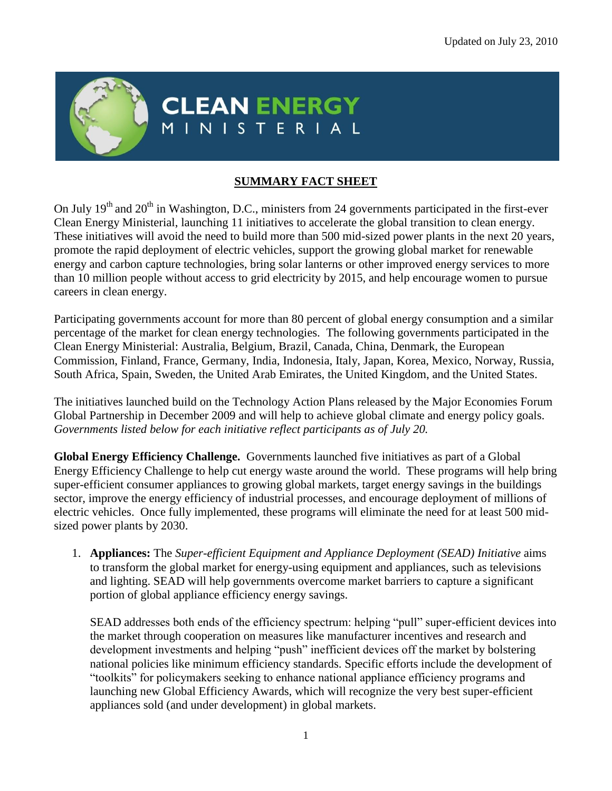

## **CLEAN ENERGY** ISTERIAL

## **SUMMARY FACT SHEET**

On July  $19<sup>th</sup>$  and  $20<sup>th</sup>$  in Washington, D.C., ministers from 24 governments participated in the first-ever Clean Energy Ministerial, launching 11 initiatives to accelerate the global transition to clean energy. These initiatives will avoid the need to build more than 500 mid-sized power plants in the next 20 years, promote the rapid deployment of electric vehicles, support the growing global market for renewable energy and carbon capture technologies, bring solar lanterns or other improved energy services to more than 10 million people without access to grid electricity by 2015, and help encourage women to pursue careers in clean energy.

Participating governments account for more than 80 percent of global energy consumption and a similar percentage of the market for clean energy technologies. The following governments participated in the Clean Energy Ministerial: Australia, Belgium, Brazil, Canada, China, Denmark, the European Commission, Finland, France, Germany, India, Indonesia, Italy, Japan, Korea, Mexico, Norway, Russia, South Africa, Spain, Sweden, the United Arab Emirates, the United Kingdom, and the United States.

The initiatives launched build on the Technology Action Plans released by the Major Economies Forum Global Partnership in December 2009 and will help to achieve global climate and energy policy goals. *Governments listed below for each initiative reflect participants as of July 20.*

**Global Energy Efficiency Challenge.** Governments launched five initiatives as part of a Global Energy Efficiency Challenge to help cut energy waste around the world. These programs will help bring super-efficient consumer appliances to growing global markets, target energy savings in the buildings sector, improve the energy efficiency of industrial processes, and encourage deployment of millions of electric vehicles. Once fully implemented, these programs will eliminate the need for at least 500 midsized power plants by 2030.

1. **Appliances:** The *Super-efficient Equipment and Appliance Deployment (SEAD) Initiative* aims to transform the global market for energy-using equipment and appliances, such as televisions and lighting. SEAD will help governments overcome market barriers to capture a significant portion of global appliance efficiency energy savings.

SEAD addresses both ends of the efficiency spectrum: helping "pull" super-efficient devices into the market through cooperation on measures like manufacturer incentives and research and development investments and helping "push" inefficient devices off the market by bolstering national policies like minimum efficiency standards. Specific efforts include the development of "toolkits" for policymakers seeking to enhance national appliance efficiency programs and launching new Global Efficiency Awards, which will recognize the very best super-efficient appliances sold (and under development) in global markets.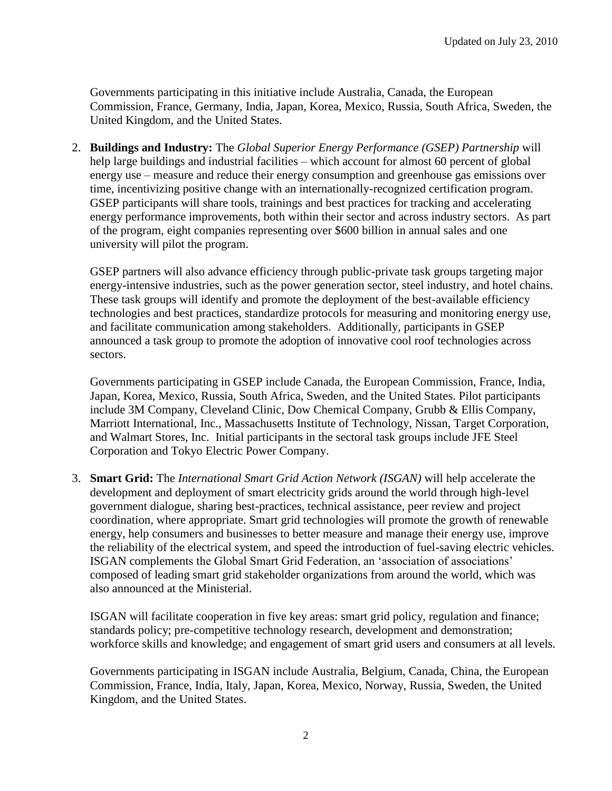Governments participating in this initiative include Australia, Canada, the European Commission, France, Germany, India, Japan, Korea, Mexico, Russia, South Africa, Sweden, the United Kingdom, and the United States.

2. **Buildings and Industry:** The *Global Superior Energy Performance (GSEP) Partnership* will help large buildings and industrial facilities – which account for almost 60 percent of global energy use – measure and reduce their energy consumption and greenhouse gas emissions over time, incentivizing positive change with an internationally-recognized certification program. GSEP participants will share tools, trainings and best practices for tracking and accelerating energy performance improvements, both within their sector and across industry sectors. As part of the program, eight companies representing over \$600 billion in annual sales and one university will pilot the program.

GSEP partners will also advance efficiency through public-private task groups targeting major energy-intensive industries, such as the power generation sector, steel industry, and hotel chains. These task groups will identify and promote the deployment of the best-available efficiency technologies and best practices, standardize protocols for measuring and monitoring energy use, and facilitate communication among stakeholders. Additionally, participants in GSEP announced a task group to promote the adoption of innovative cool roof technologies across sectors.

Governments participating in GSEP include Canada, the European Commission, France, India, Japan, Korea, Mexico, Russia, South Africa, Sweden, and the United States. Pilot participants include 3M Company, Cleveland Clinic, Dow Chemical Company, Grubb & Ellis Company, Marriott International, Inc., Massachusetts Institute of Technology, Nissan, Target Corporation, and Walmart Stores, Inc. Initial participants in the sectoral task groups include JFE Steel Corporation and Tokyo Electric Power Company.

3. **Smart Grid:** The *International Smart Grid Action Network (ISGAN)* will help accelerate the development and deployment of smart electricity grids around the world through high-level government dialogue, sharing best-practices, technical assistance, peer review and project coordination, where appropriate. Smart grid technologies will promote the growth of renewable energy, help consumers and businesses to better measure and manage their energy use, improve the reliability of the electrical system, and speed the introduction of fuel-saving electric vehicles. ISGAN complements the Global Smart Grid Federation, an "association of associations" composed of leading smart grid stakeholder organizations from around the world, which was also announced at the Ministerial.

ISGAN will facilitate cooperation in five key areas: smart grid policy, regulation and finance; standards policy; pre-competitive technology research, development and demonstration; workforce skills and knowledge; and engagement of smart grid users and consumers at all levels.

Governments participating in ISGAN include Australia, Belgium, Canada, China, the European Commission, France, India, Italy, Japan, Korea, Mexico, Norway, Russia, Sweden, the United Kingdom, and the United States.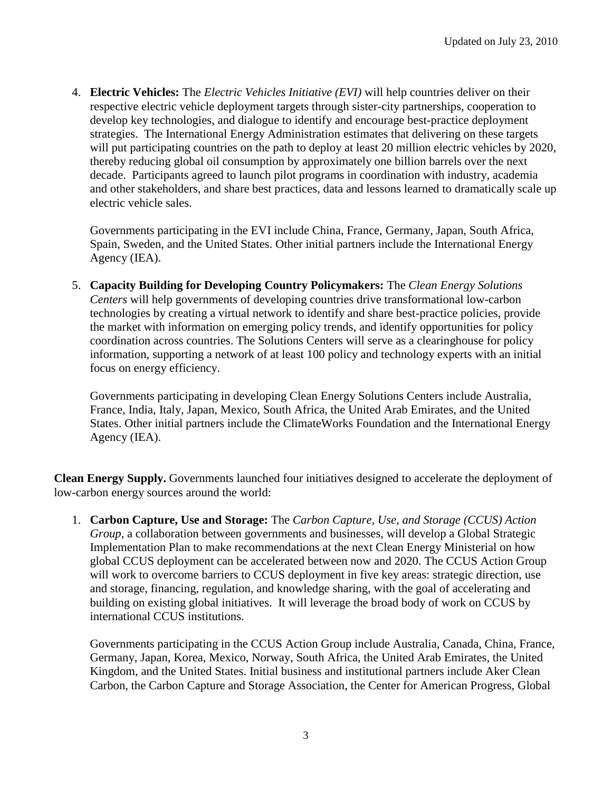4. **Electric Vehicles:** The *Electric Vehicles Initiative (EVI)* will help countries deliver on their respective electric vehicle deployment targets through sister-city partnerships, cooperation to develop key technologies, and dialogue to identify and encourage best-practice deployment strategies. The International Energy Administration estimates that delivering on these targets will put participating countries on the path to deploy at least 20 million electric vehicles by 2020, thereby reducing global oil consumption by approximately one billion barrels over the next decade. Participants agreed to launch pilot programs in coordination with industry, academia and other stakeholders, and share best practices, data and lessons learned to dramatically scale up electric vehicle sales.

Governments participating in the EVI include China, France, Germany, Japan, South Africa, Spain, Sweden, and the United States. Other initial partners include the International Energy Agency (IEA).

5. **Capacity Building for Developing Country Policymakers:** The *Clean Energy Solutions Centers* will help governments of developing countries drive transformational low-carbon technologies by creating a virtual network to identify and share best-practice policies, provide the market with information on emerging policy trends, and identify opportunities for policy coordination across countries. The Solutions Centers will serve as a clearinghouse for policy information, supporting a network of at least 100 policy and technology experts with an initial focus on energy efficiency.

Governments participating in developing Clean Energy Solutions Centers include Australia, France, India, Italy, Japan, Mexico, South Africa, the United Arab Emirates, and the United States. Other initial partners include the ClimateWorks Foundation and the International Energy Agency (IEA).

**Clean Energy Supply.** Governments launched four initiatives designed to accelerate the deployment of low-carbon energy sources around the world:

1. **Carbon Capture, Use and Storage:** The *Carbon Capture, Use, and Storage (CCUS) Action Group*, a collaboration between governments and businesses, will develop a Global Strategic Implementation Plan to make recommendations at the next Clean Energy Ministerial on how global CCUS deployment can be accelerated between now and 2020. The CCUS Action Group will work to overcome barriers to CCUS deployment in five key areas: strategic direction, use and storage, financing, regulation, and knowledge sharing, with the goal of accelerating and building on existing global initiatives. It will leverage the broad body of work on CCUS by international CCUS institutions.

Governments participating in the CCUS Action Group include Australia, Canada, China, France, Germany, Japan, Korea, Mexico, Norway, South Africa, the United Arab Emirates, the United Kingdom, and the United States. Initial business and institutional partners include Aker Clean Carbon, the Carbon Capture and Storage Association, the Center for American Progress, Global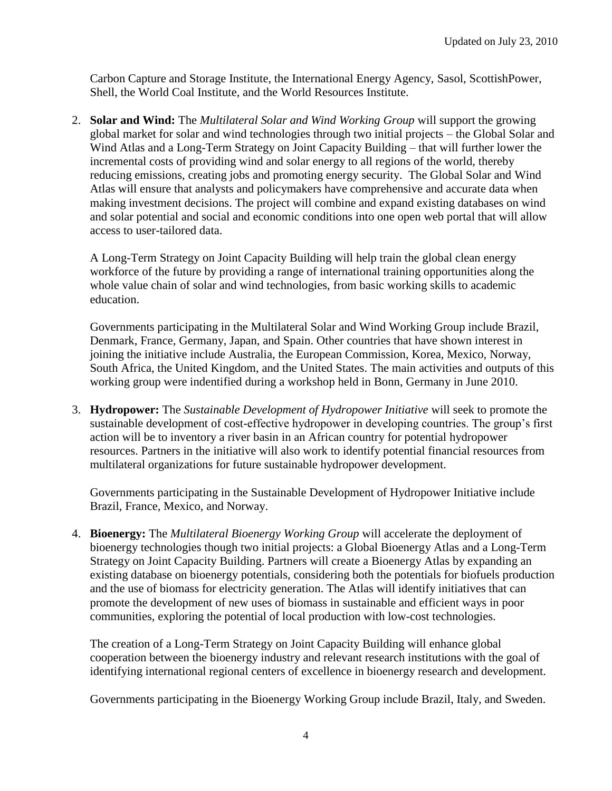Carbon Capture and Storage Institute, the International Energy Agency, Sasol, ScottishPower, Shell, the World Coal Institute, and the World Resources Institute.

2. **Solar and Wind:** The *Multilateral Solar and Wind Working Group* will support the growing global market for solar and wind technologies through two initial projects – the Global Solar and Wind Atlas and a Long-Term Strategy on Joint Capacity Building – that will further lower the incremental costs of providing wind and solar energy to all regions of the world, thereby reducing emissions, creating jobs and promoting energy security. The Global Solar and Wind Atlas will ensure that analysts and policymakers have comprehensive and accurate data when making investment decisions. The project will combine and expand existing databases on wind and solar potential and social and economic conditions into one open web portal that will allow access to user-tailored data.

A Long-Term Strategy on Joint Capacity Building will help train the global clean energy workforce of the future by providing a range of international training opportunities along the whole value chain of solar and wind technologies, from basic working skills to academic education.

Governments participating in the Multilateral Solar and Wind Working Group include Brazil, Denmark, France, Germany, Japan, and Spain. Other countries that have shown interest in joining the initiative include Australia, the European Commission, Korea, Mexico, Norway, South Africa, the United Kingdom, and the United States. The main activities and outputs of this working group were indentified during a workshop held in Bonn, Germany in June 2010.

3. **Hydropower:** The *Sustainable Development of Hydropower Initiative* will seek to promote the sustainable development of cost-effective hydropower in developing countries. The group's first action will be to inventory a river basin in an African country for potential hydropower resources. Partners in the initiative will also work to identify potential financial resources from multilateral organizations for future sustainable hydropower development.

Governments participating in the Sustainable Development of Hydropower Initiative include Brazil, France, Mexico, and Norway.

4. **Bioenergy:** The *Multilateral Bioenergy Working Group* will accelerate the deployment of bioenergy technologies though two initial projects: a Global Bioenergy Atlas and a Long-Term Strategy on Joint Capacity Building. Partners will create a Bioenergy Atlas by expanding an existing database on bioenergy potentials, considering both the potentials for biofuels production and the use of biomass for electricity generation. The Atlas will identify initiatives that can promote the development of new uses of biomass in sustainable and efficient ways in poor communities, exploring the potential of local production with low-cost technologies.

The creation of a Long-Term Strategy on Joint Capacity Building will enhance global cooperation between the bioenergy industry and relevant research institutions with the goal of identifying international regional centers of excellence in bioenergy research and development.

Governments participating in the Bioenergy Working Group include Brazil, Italy, and Sweden.